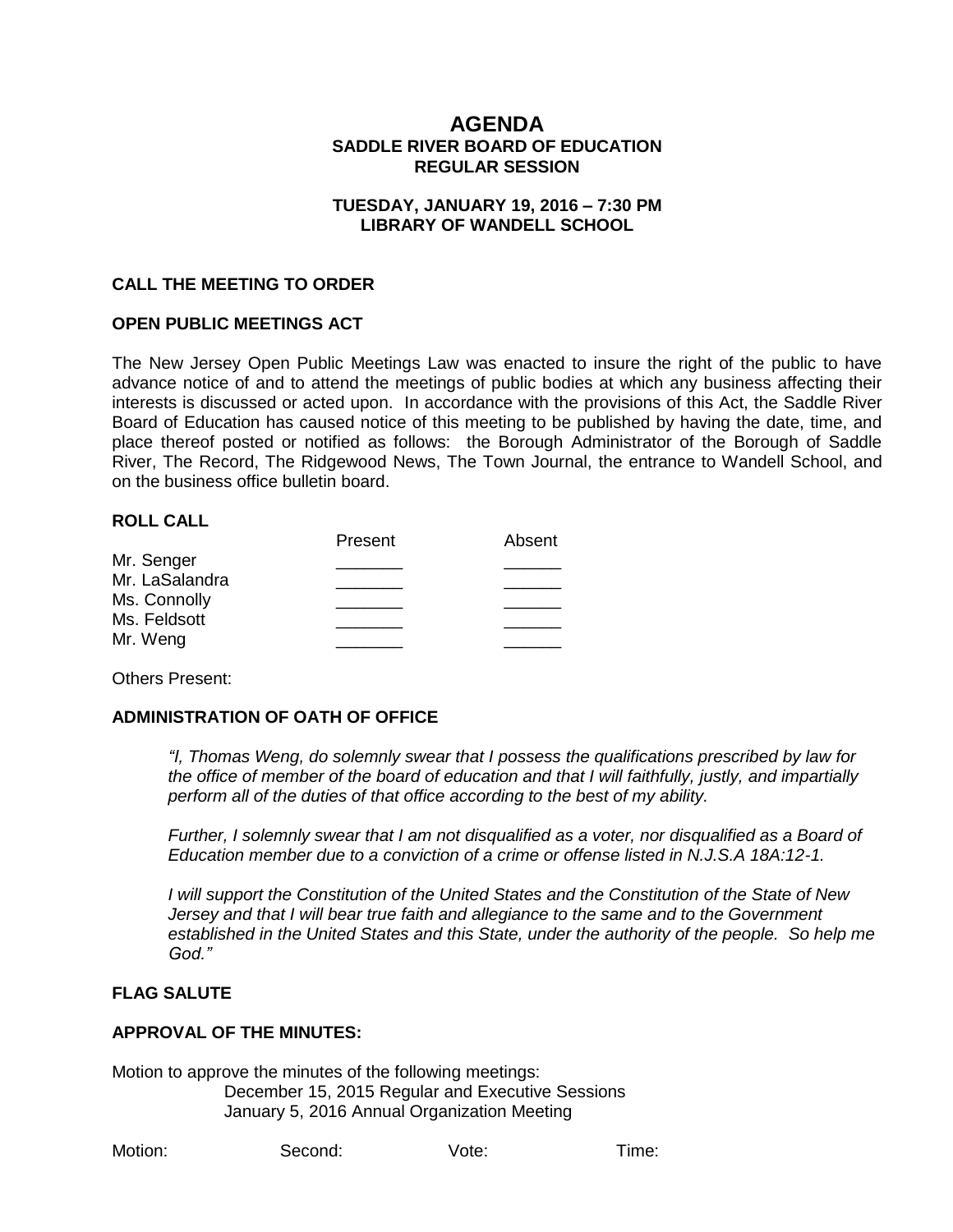# **AGENDA SADDLE RIVER BOARD OF EDUCATION REGULAR SESSION**

#### **TUESDAY, JANUARY 19, 2016 – 7:30 PM LIBRARY OF WANDELL SCHOOL**

### **CALL THE MEETING TO ORDER**

#### **OPEN PUBLIC MEETINGS ACT**

The New Jersey Open Public Meetings Law was enacted to insure the right of the public to have advance notice of and to attend the meetings of public bodies at which any business affecting their interests is discussed or acted upon. In accordance with the provisions of this Act, the Saddle River Board of Education has caused notice of this meeting to be published by having the date, time, and place thereof posted or notified as follows: the Borough Administrator of the Borough of Saddle River, The Record, The Ridgewood News, The Town Journal, the entrance to Wandell School, and on the business office bulletin board.

#### **ROLL CALL**

| Present | Absent |
|---------|--------|
|         |        |
|         |        |
|         |        |
|         |        |
|         |        |
|         |        |

Others Present:

## **ADMINISTRATION OF OATH OF OFFICE**

*"I, Thomas Weng, do solemnly swear that I possess the qualifications prescribed by law for the office of member of the board of education and that I will faithfully, justly, and impartially perform all of the duties of that office according to the best of my ability.* 

*Further, I solemnly swear that I am not disqualified as a voter, nor disqualified as a Board of Education member due to a conviction of a crime or offense listed in N.J.S.A 18A:12-1.*

*I will support the Constitution of the United States and the Constitution of the State of New Jersey and that I will bear true faith and allegiance to the same and to the Government established in the United States and this State, under the authority of the people. So help me God."*

## **FLAG SALUTE**

#### **APPROVAL OF THE MINUTES:**

Motion to approve the minutes of the following meetings: December 15, 2015 Regular and Executive Sessions January 5, 2016 Annual Organization Meeting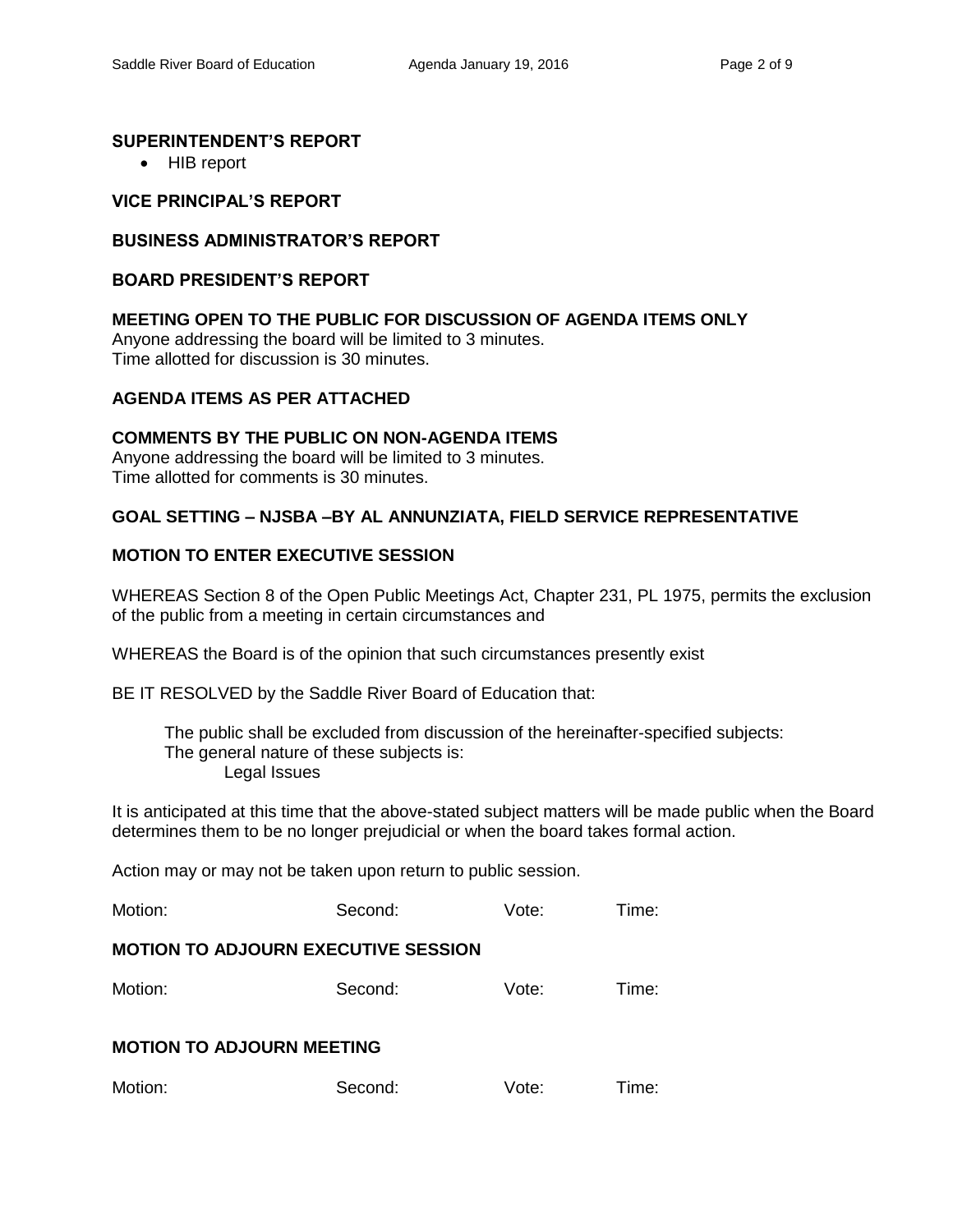## **SUPERINTENDENT'S REPORT**

• HIB report

## **VICE PRINCIPAL'S REPORT**

### **BUSINESS ADMINISTRATOR'S REPORT**

#### **BOARD PRESIDENT'S REPORT**

### **MEETING OPEN TO THE PUBLIC FOR DISCUSSION OF AGENDA ITEMS ONLY**

Anyone addressing the board will be limited to 3 minutes. Time allotted for discussion is 30 minutes.

## **AGENDA ITEMS AS PER ATTACHED**

## **COMMENTS BY THE PUBLIC ON NON-AGENDA ITEMS**

Anyone addressing the board will be limited to 3 minutes. Time allotted for comments is 30 minutes.

### **GOAL SETTING – NJSBA –BY AL ANNUNZIATA, FIELD SERVICE REPRESENTATIVE**

## **MOTION TO ENTER EXECUTIVE SESSION**

WHEREAS Section 8 of the Open Public Meetings Act, Chapter 231, PL 1975, permits the exclusion of the public from a meeting in certain circumstances and

WHEREAS the Board is of the opinion that such circumstances presently exist

BE IT RESOLVED by the Saddle River Board of Education that:

 The public shall be excluded from discussion of the hereinafter-specified subjects: The general nature of these subjects is: Legal Issues

It is anticipated at this time that the above-stated subject matters will be made public when the Board determines them to be no longer prejudicial or when the board takes formal action.

Action may or may not be taken upon return to public session.

| Motion: | Second: | Vote: | Time: |
|---------|---------|-------|-------|
|---------|---------|-------|-------|

### **MOTION TO ADJOURN EXECUTIVE SESSION**

| Motion: | Second: | Vote: | Time: |
|---------|---------|-------|-------|
|---------|---------|-------|-------|

## **MOTION TO ADJOURN MEETING**

| Motion: | Second: | Vote: | Time: |
|---------|---------|-------|-------|
|---------|---------|-------|-------|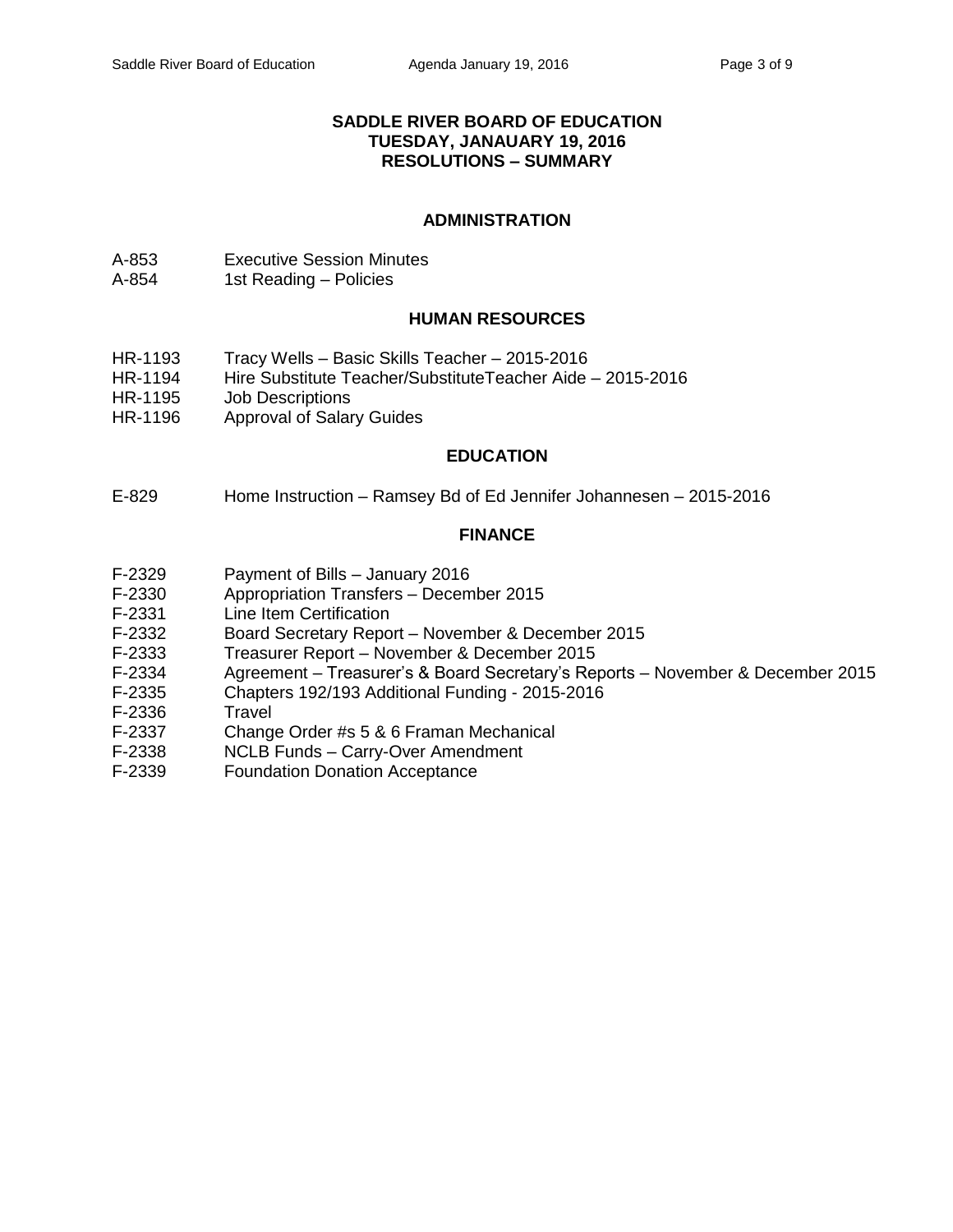### **SADDLE RIVER BOARD OF EDUCATION TUESDAY, JANAUARY 19, 2016 RESOLUTIONS – SUMMARY**

### **ADMINISTRATION**

- A-853 Executive Session Minutes
- A-854 1st Reading Policies

### **HUMAN RESOURCES**

- HR-1193 Tracy Wells Basic Skills Teacher 2015-2016
- HR-1194 Hire Substitute Teacher/SubstituteTeacher Aide 2015-2016
- HR-1195 Job Descriptions
- HR-1196 Approval of Salary Guides

#### **EDUCATION**

E-829 Home Instruction – Ramsey Bd of Ed Jennifer Johannesen – 2015-2016

#### **FINANCE**

- F-2329 Payment of Bills January 2016
- F-2330 Appropriation Transfers December 2015
- F-2331 Line Item Certification
- F-2332 Board Secretary Report November & December 2015
- F-2333 Treasurer Report November & December 2015
- F-2334 Agreement Treasurer's & Board Secretary's Reports November & December 2015
- F-2335 Chapters 192/193 Additional Funding 2015-2016
- F-2336 Travel
- F-2337 Change Order #s 5 & 6 Framan Mechanical
- F-2338 NCLB Funds Carry-Over Amendment<br>F-2339 Foundation Donation Acceptance
- Foundation Donation Acceptance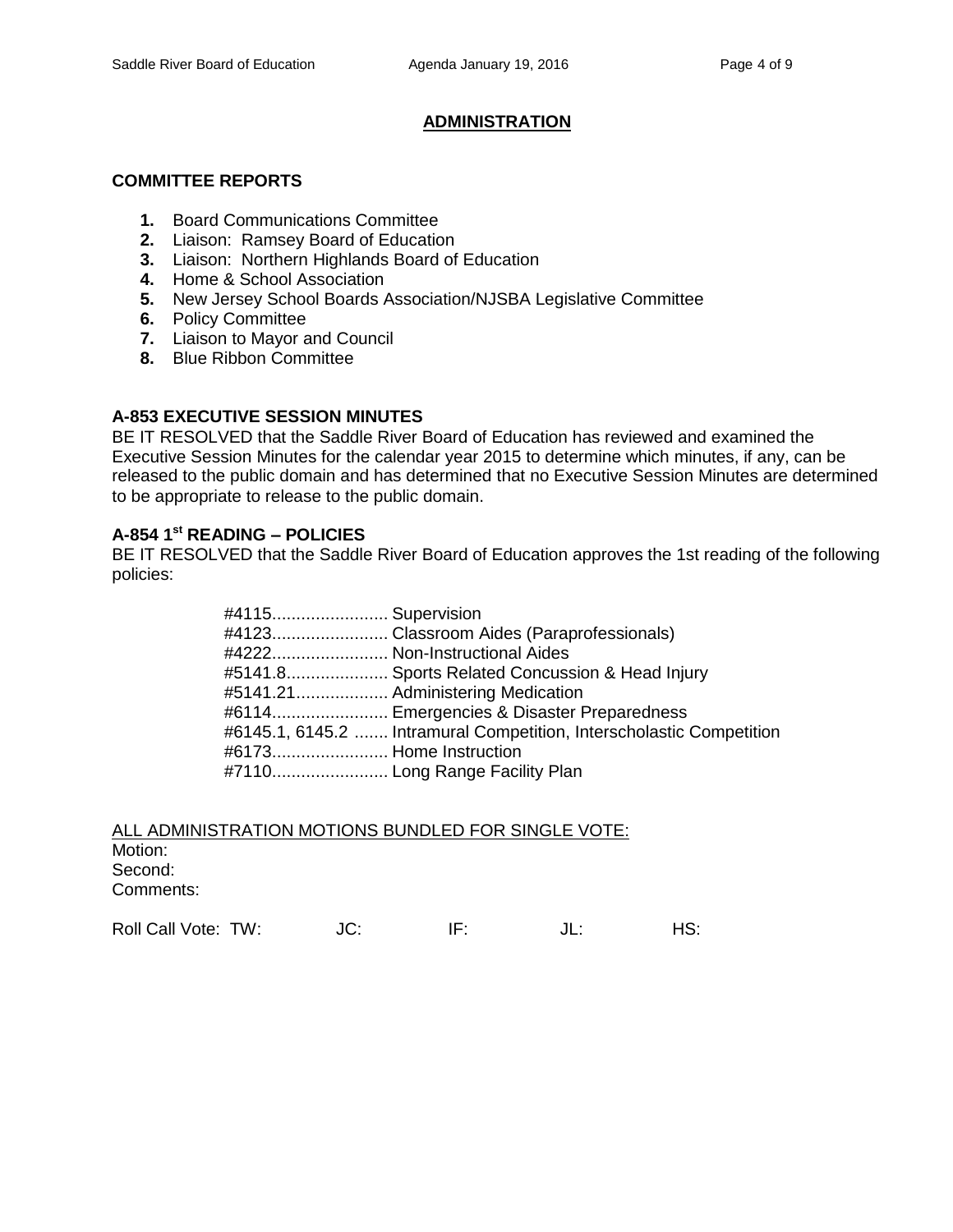# **ADMINISTRATION**

### **COMMITTEE REPORTS**

- **1.** Board Communications Committee
- **2.** Liaison: Ramsey Board of Education
- **3.** Liaison: Northern Highlands Board of Education
- **4.** Home & School Association
- **5.** New Jersey School Boards Association/NJSBA Legislative Committee
- **6.** Policy Committee
- **7.** Liaison to Mayor and Council
- **8.** Blue Ribbon Committee

## **A-853 EXECUTIVE SESSION MINUTES**

BE IT RESOLVED that the Saddle River Board of Education has reviewed and examined the Executive Session Minutes for the calendar year 2015 to determine which minutes, if any, can be released to the public domain and has determined that no Executive Session Minutes are determined to be appropriate to release to the public domain.

# **A-854 1 st READING – POLICIES**

BE IT RESOLVED that the Saddle River Board of Education approves the 1st reading of the following policies:

| #4115 Supervision      |                                                                      |
|------------------------|----------------------------------------------------------------------|
|                        |                                                                      |
|                        | #4222 Non-Instructional Aides                                        |
|                        | #5141.8 Sports Related Concussion & Head Injury                      |
|                        | #5141.21 Administering Medication                                    |
|                        | #6114 Emergencies & Disaster Preparedness                            |
|                        | #6145.1, 6145.2  Intramural Competition, Interscholastic Competition |
| #6173 Home Instruction |                                                                      |
|                        |                                                                      |

| ALL ADMINISTRATION MOTIONS BUNDLED FOR SINGLE VOTE: |  |
|-----------------------------------------------------|--|
| Motion:                                             |  |
| Second:                                             |  |
| Comments:                                           |  |

Roll Call Vote: TW:  $JC:$  IF:  $JL:$  HS: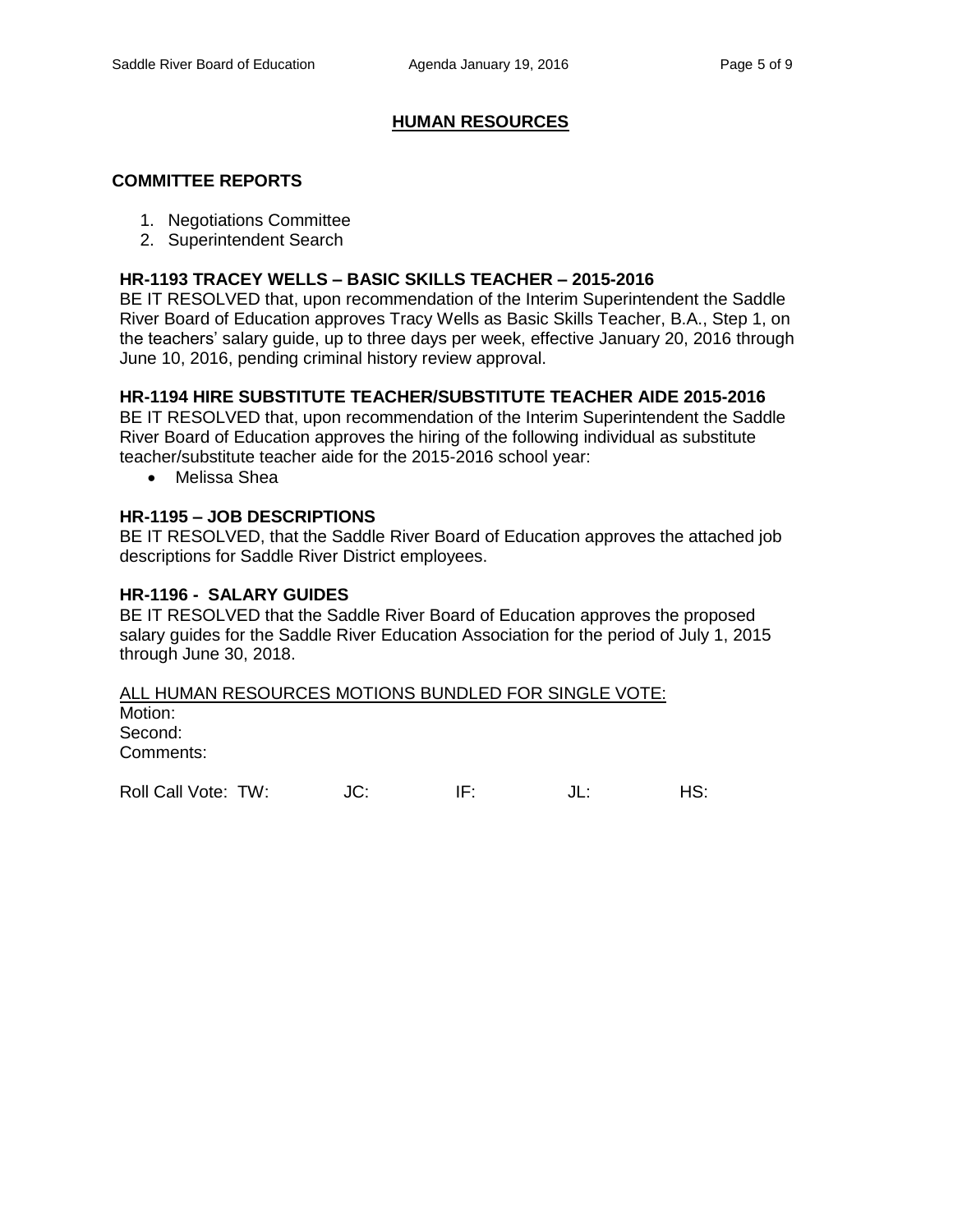## **HUMAN RESOURCES**

#### **COMMITTEE REPORTS**

- 1. Negotiations Committee
- 2. Superintendent Search

#### **HR-1193 TRACEY WELLS – BASIC SKILLS TEACHER – 2015-2016**

BE IT RESOLVED that, upon recommendation of the Interim Superintendent the Saddle River Board of Education approves Tracy Wells as Basic Skills Teacher, B.A., Step 1, on the teachers' salary guide, up to three days per week, effective January 20, 2016 through June 10, 2016, pending criminal history review approval.

### **HR-1194 HIRE SUBSTITUTE TEACHER/SUBSTITUTE TEACHER AIDE 2015-2016**

BE IT RESOLVED that, upon recommendation of the Interim Superintendent the Saddle River Board of Education approves the hiring of the following individual as substitute teacher/substitute teacher aide for the 2015-2016 school year:

Melissa Shea

#### **HR-1195 – JOB DESCRIPTIONS**

BE IT RESOLVED, that the Saddle River Board of Education approves the attached job descriptions for Saddle River District employees.

#### **HR-1196 - SALARY GUIDES**

BE IT RESOLVED that the Saddle River Board of Education approves the proposed salary guides for the Saddle River Education Association for the period of July 1, 2015 through June 30, 2018.

#### ALL HUMAN RESOURCES MOTIONS BUNDLED FOR SINGLE VOTE:

Motion: Second: Comments:

Roll Call Vote: TW:  $JC$ : IF:  $JL$ : IL: HS: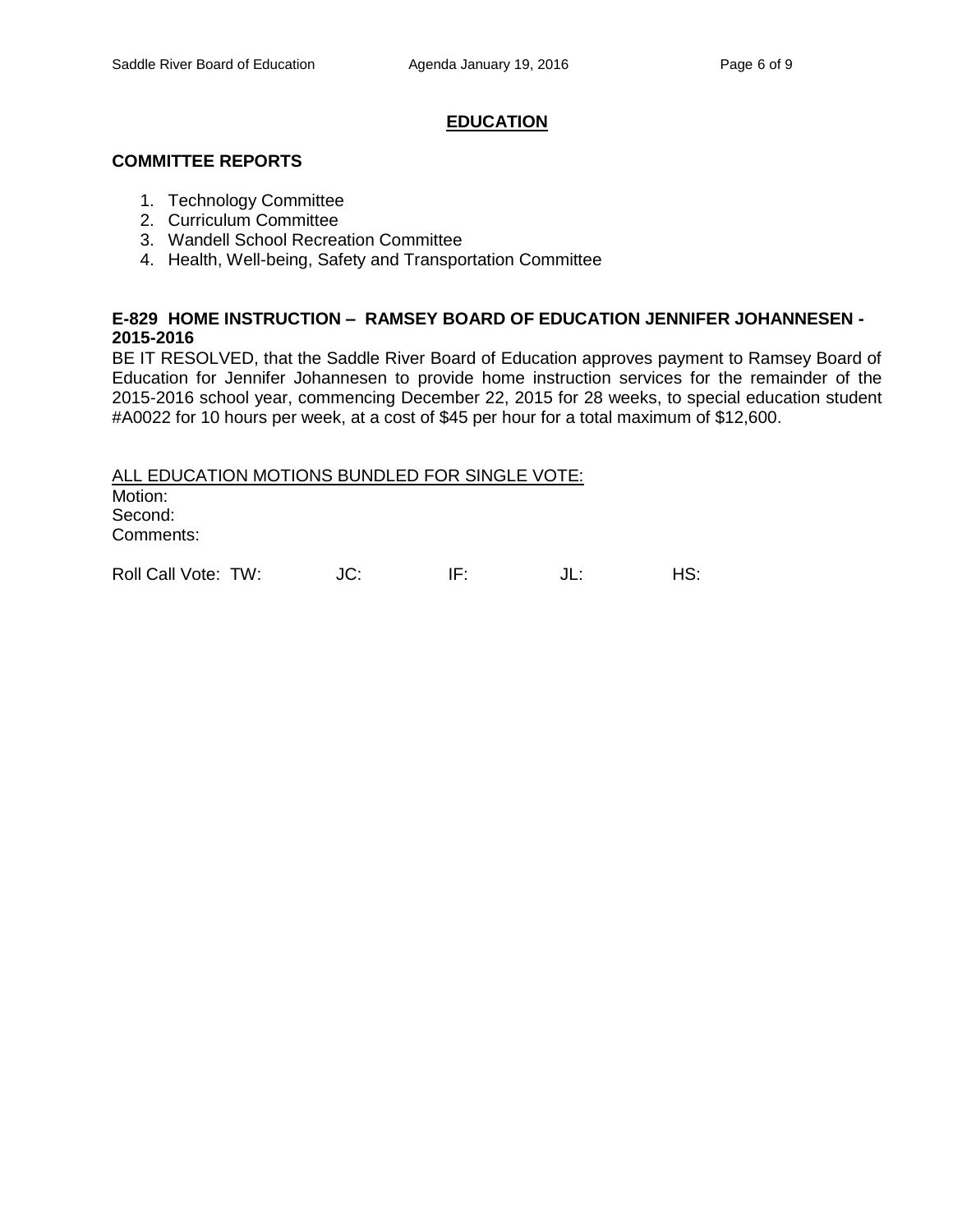### **EDUCATION**

### **COMMITTEE REPORTS**

- 1. Technology Committee
- 2. Curriculum Committee
- 3. Wandell School Recreation Committee
- 4. Health, Well-being, Safety and Transportation Committee

## **E-829 HOME INSTRUCTION – RAMSEY BOARD OF EDUCATION JENNIFER JOHANNESEN - 2015-2016**

BE IT RESOLVED, that the Saddle River Board of Education approves payment to Ramsey Board of Education for Jennifer Johannesen to provide home instruction services for the remainder of the 2015-2016 school year, commencing December 22, 2015 for 28 weeks, to special education student #A0022 for 10 hours per week, at a cost of \$45 per hour for a total maximum of \$12,600.

ALL EDUCATION MOTIONS BUNDLED FOR SINGLE VOTE: Motion: Second: Comments:

Roll Call Vote: TW:  $JC:$  IF:  $JL:$  HS: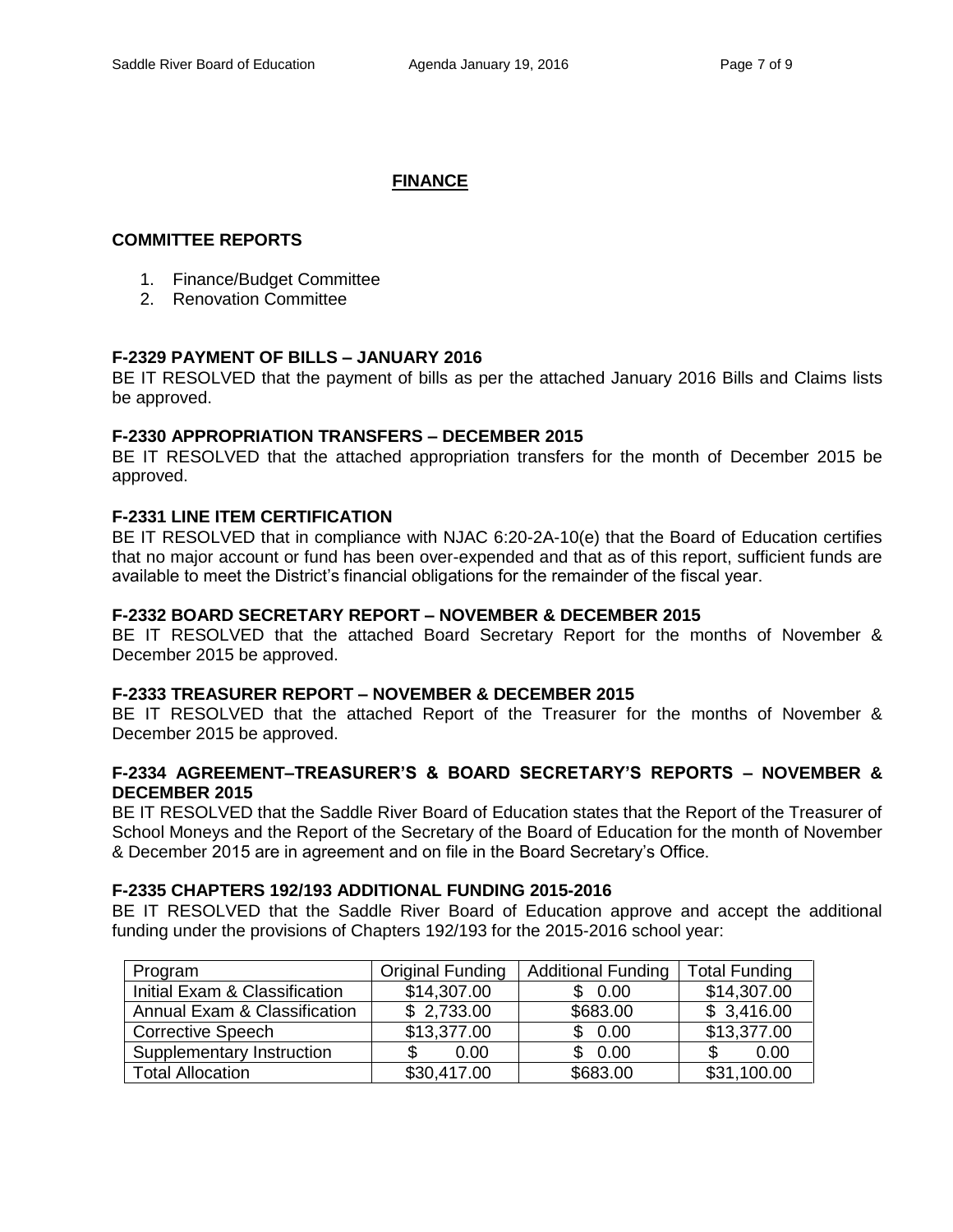# **FINANCE**

## **COMMITTEE REPORTS**

- 1. Finance/Budget Committee
- 2. Renovation Committee

## **F-2329 PAYMENT OF BILLS – JANUARY 2016**

BE IT RESOLVED that the payment of bills as per the attached January 2016 Bills and Claims lists be approved.

## **F-2330 APPROPRIATION TRANSFERS – DECEMBER 2015**

BE IT RESOLVED that the attached appropriation transfers for the month of December 2015 be approved.

## **F-2331 LINE ITEM CERTIFICATION**

BE IT RESOLVED that in compliance with NJAC 6:20-2A-10(e) that the Board of Education certifies that no major account or fund has been over-expended and that as of this report, sufficient funds are available to meet the District's financial obligations for the remainder of the fiscal year.

## **F-2332 BOARD SECRETARY REPORT – NOVEMBER & DECEMBER 2015**

BE IT RESOLVED that the attached Board Secretary Report for the months of November & December 2015 be approved.

# **F-2333 TREASURER REPORT – NOVEMBER & DECEMBER 2015**

BE IT RESOLVED that the attached Report of the Treasurer for the months of November & December 2015 be approved.

### **F-2334 AGREEMENT–TREASURER'S & BOARD SECRETARY'S REPORTS – NOVEMBER & DECEMBER 2015**

BE IT RESOLVED that the Saddle River Board of Education states that the Report of the Treasurer of School Moneys and the Report of the Secretary of the Board of Education for the month of November & December 2015 are in agreement and on file in the Board Secretary's Office.

#### **F-2335 CHAPTERS 192/193 ADDITIONAL FUNDING 2015-2016**

BE IT RESOLVED that the Saddle River Board of Education approve and accept the additional funding under the provisions of Chapters 192/193 for the 2015-2016 school year:

| Program                       | <b>Original Funding</b> | <b>Additional Funding</b> | <b>Total Funding</b>    |
|-------------------------------|-------------------------|---------------------------|-------------------------|
| Initial Exam & Classification | \$14,307.00             | \$0.00                    | \$14,307.00             |
| Annual Exam & Classification  | \$2,733.00              | \$683.00                  | \$3,416.00              |
| <b>Corrective Speech</b>      | \$13,377.00             | \$0.00                    | $\overline{$13,377.00}$ |
| Supplementary Instruction     | 0.00                    | \$0.00                    | 0.00<br>S               |
| Total Allocation              | \$30,417.00             | \$683.00                  | \$31,100.00             |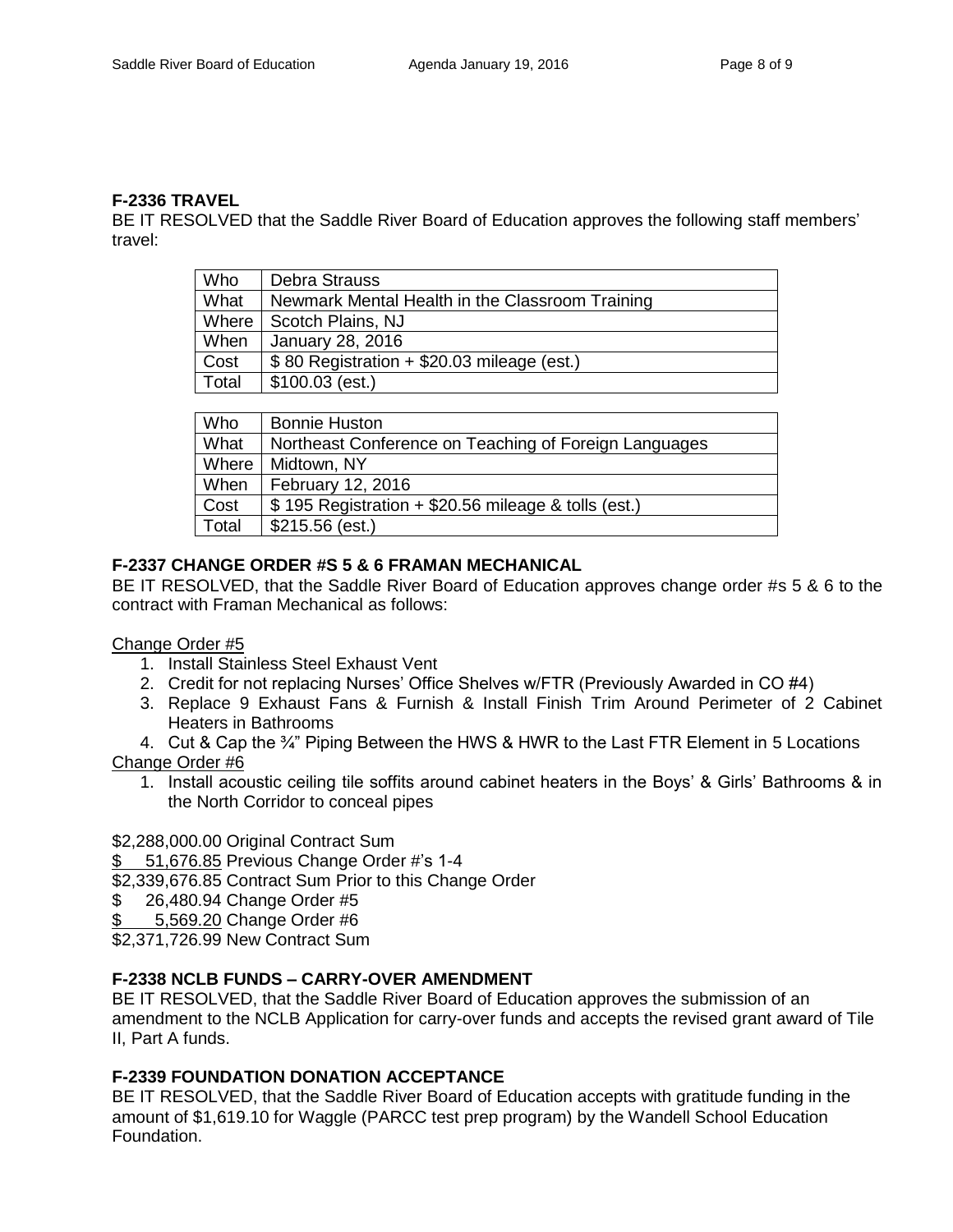### **F-2336 TRAVEL**

BE IT RESOLVED that the Saddle River Board of Education approves the following staff members' travel:

| Who   | <b>Debra Strauss</b>                            |
|-------|-------------------------------------------------|
| What  | Newmark Mental Health in the Classroom Training |
|       | Where   Scotch Plains, NJ                       |
| When  | January 28, 2016                                |
| Cost  | \$80 Registration + \$20.03 mileage (est.)      |
| Total | $$100.03$ (est.)                                |

| Who   | <b>Bonnie Huston</b>                                  |
|-------|-------------------------------------------------------|
| What  | Northeast Conference on Teaching of Foreign Languages |
| Where | Midtown, NY                                           |
| When  | February 12, 2016                                     |
| Cost  | \$195 Registration + \$20.56 mileage & tolls (est.)   |
| Total | $$215.56$ (est.)                                      |

# **F-2337 CHANGE ORDER #S 5 & 6 FRAMAN MECHANICAL**

BE IT RESOLVED, that the Saddle River Board of Education approves change order #s 5 & 6 to the contract with Framan Mechanical as follows:

#### Change Order #5

- 1. Install Stainless Steel Exhaust Vent
- 2. Credit for not replacing Nurses' Office Shelves w/FTR (Previously Awarded in CO #4)
- 3. Replace 9 Exhaust Fans & Furnish & Install Finish Trim Around Perimeter of 2 Cabinet Heaters in Bathrooms
- 4. Cut & Cap the <sup>3</sup>/4<sup>"</sup> Piping Between the HWS & HWR to the Last FTR Element in 5 Locations

Change Order #6

1. Install acoustic ceiling tile soffits around cabinet heaters in the Boys' & Girls' Bathrooms & in the North Corridor to conceal pipes

#### \$2,288,000.00 Original Contract Sum

\$ 51,676.85 Previous Change Order #'s 1-4

\$2,339,676.85 Contract Sum Prior to this Change Order

- \$ 26,480.94 Change Order #5
- \$ 5,569.20 Change Order #6

\$2,371,726.99 New Contract Sum

## **F-2338 NCLB FUNDS – CARRY-OVER AMENDMENT**

BE IT RESOLVED, that the Saddle River Board of Education approves the submission of an amendment to the NCLB Application for carry-over funds and accepts the revised grant award of Tile II, Part A funds.

## **F-2339 FOUNDATION DONATION ACCEPTANCE**

BE IT RESOLVED, that the Saddle River Board of Education accepts with gratitude funding in the amount of \$1,619.10 for Waggle (PARCC test prep program) by the Wandell School Education Foundation.